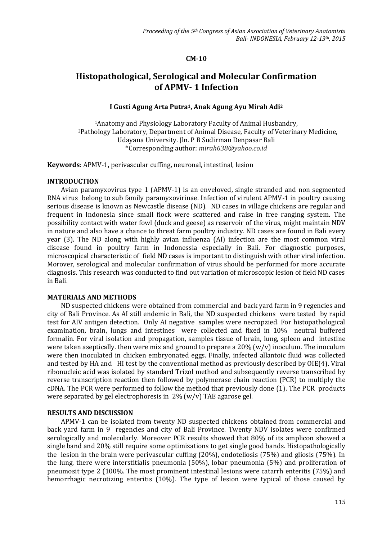# **CM-10**

# **Histopathological, Serological and Molecular Confirmation of APMV- 1 Infection**

# **I Gusti Agung Arta Putra1, Anak Agung Ayu Mirah Adi<sup>2</sup>**

<sup>1</sup>Anatomy and Physiology Laboratory Faculty of Animal Husbandry, <sup>2</sup>Pathology Laboratory, Department of Animal Disease, Faculty of Veterinary Medicine, Udayana University. Jln. P B Sudirman Denpasar Bali \*Corresponding author: *mirah638@yahoo.co.id*

**Keywords**: APMV-1**,** perivascular cuffing, neuronal, intestinal, lesion

#### **INTRODUCTION**

Avian paramyxovirus type 1 (APMV-1) is an enveloved, single stranded and non segmented RNA virus belong to sub family paramyxovirinae. Infection of virulent APMV-1 in poultry causing serious disease is known as Newcastle disease (ND).ND cases in village chickens are regular and frequent in Indonesia since small flock were scattered and raise in free ranging system. The possibility contact with water fowl (duck and geese) as reservoir of the virus, might maintain NDV in nature and also have a chance to threat farm poultry industry. ND cases are found in Bali every year (3). The ND along with highly avian influenza (AI) infection are the most common viral disease found in poultry farm in Indonessia especially in Bali. For diagnostic purposes, microscopical characteristic of field ND cases is important to distinguish with other viral infection. Morover, serological and molecular confirmation of virus should be performed for more accurate diagnosis. This research was conducted to find out variation of microscopic lesion of field ND cases in Bali.

#### **MATERIALS AND METHODS**

ND suspected chickens were obtained from commercial and back yard farm in 9 regencies and city of Bali Province. As AI still endemic in Bali, the ND suspected chickens were tested by rapid test for AIV antigen detection. Only AI negative samples were necropzied. For histopathological examination, brain, lungs and intestines were collected and fixed in 10% neutral buffered formalin. For viral isolation and propagation, samples tissue of brain, lung, spleen and intestine were taken aseptically. then were mix and ground to prepare a  $20\%$  (w/v) inoculum. The inoculum were then inoculated in chicken embryonated eggs. Finally, infected allantoic fluid was collected and tested by HA and HI test by the conventional method as previously described by OIE(4). Viral ribonucleic acid was isolated by standard Trizol method and subsequently reverse transcribed by reverse transcription reaction then followed by polymerase chain reaction (PCR) to multiply the cDNA. The PCR were performed to follow the method that previously done (1). The PCR products were separated by gel electrophoresis in 2% (w/v) TAE agarose gel.

# **RESULTS AND DISCUSSION**

APMV-1 can be isolated from twenty ND suspected chickens obtained from commercial and back yard farm in 9 regencies and city of Bali Province. Twenty NDV isolates were confirmed serologically and molecularly. Moreover PCR results showed that 80% of its amplicon showed a single band and 20% still require some optimizations to get single good bands. Histopathologically the lesion in the brain were perivascular cuffing (20%), endoteliosis (75%) and gliosis (75%). In the lung, there were interstitialis pneumonia (50%), lobar pneumonia (5%) and proliferation of pneumosit type 2 (100%. The most prominent intestinal lesions were catarrh enteritis (75%) and hemorrhagic necrotizing enteritis (10%). The type of lesion were typical of those caused by